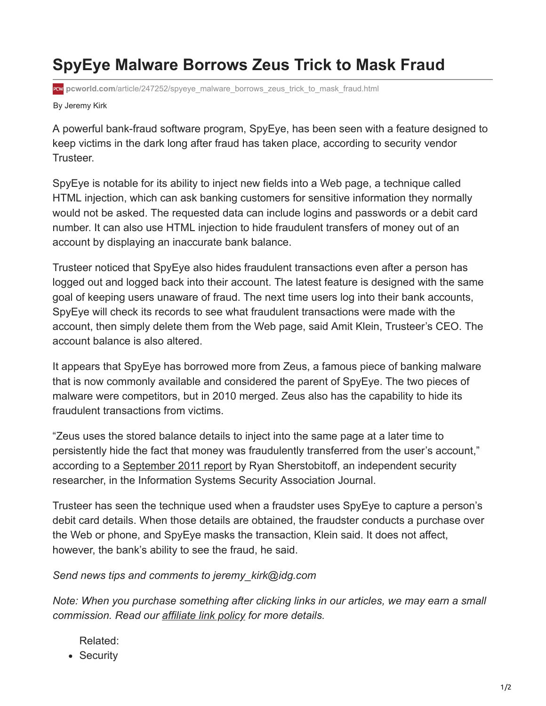## **SpyEye Malware Borrows Zeus Trick to Mask Fraud**

**PCW** pcworld.com[/article/247252/spyeye\\_malware\\_borrows\\_zeus\\_trick\\_to\\_mask\\_fraud.html](https://www.pcworld.com/article/247252/spyeye_malware_borrows_zeus_trick_to_mask_fraud.html)

By Jeremy Kirk

A powerful bank-fraud software program, SpyEye, has been seen with a feature designed to keep victims in the dark long after fraud has taken place, according to security vendor Trusteer.

SpyEye is notable for its ability to inject new fields into a Web page, a technique called HTML injection, which can ask banking customers for sensitive information they normally would not be asked. The requested data can include logins and passwords or a debit card number. It can also use HTML injection to hide fraudulent transfers of money out of an account by displaying an inaccurate bank balance.

Trusteer noticed that SpyEye also hides fraudulent transactions even after a person has logged out and logged back into their account. The latest feature is designed with the same goal of keeping users unaware of fraud. The next time users log into their bank accounts, SpyEye will check its records to see what fraudulent transactions were made with the account, then simply delete them from the Web page, said Amit Klein, Trusteer's CEO. The account balance is also altered.

It appears that SpyEye has borrowed more from Zeus, a famous piece of banking malware that is now commonly available and considered the parent of SpyEye. The two pieces of malware were competitors, but in 2010 merged. Zeus also has the capability to hide its fraudulent transactions from victims.

"Zeus uses the stored balance details to inject into the same page at a later time to persistently hide the fact that money was fraudulently transferred from the user's account," according to a [September 2011 report](https://go.redirectingat.com/?id=111346X1569483&url=http://issa.org/images/upload/files/Sherstobitoff-The%20New%20Frontier%20for%20Zeus%20and%20SpyEye.pdf&xcust=2-1-473249-1-0-0&sref=https://www.pcworld.com/article/473249/spyeye_malware_borrows_zeus_trick_to_mask_fraud.html) by Ryan Sherstobitoff, an independent security researcher, in the Information Systems Security Association Journal.

Trusteer has seen the technique used when a fraudster uses SpyEye to capture a person's debit card details. When those details are obtained, the fraudster conducts a purchase over the Web or phone, and SpyEye masks the transaction, Klein said. It does not affect, however, the bank's ability to see the fraud, he said.

*Send news tips and comments to jeremy\_kirk@idg.com*

*Note: When you purchase something after clicking links in our articles, we may earn a small commission. Read our [affiliate link policy](https://www.pcworld.com/about/affiliate-link-policy) for more details.*

Related:

• Security